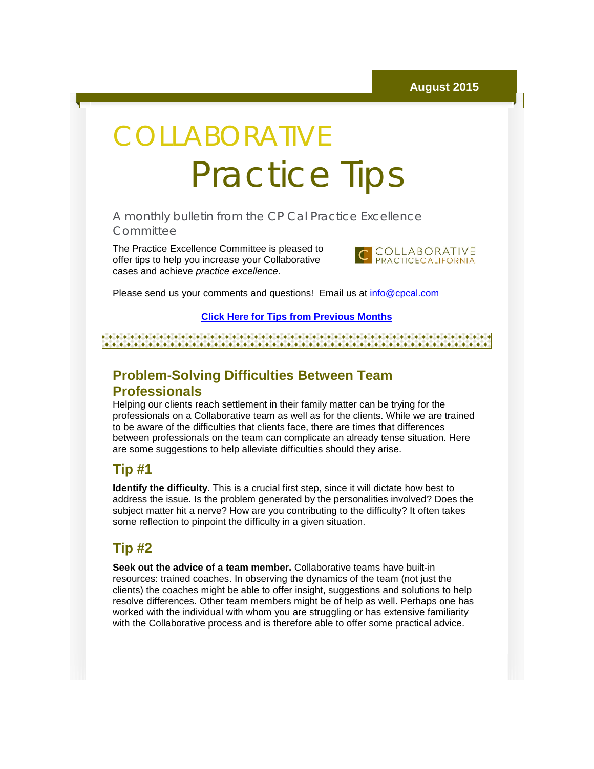# COLLABORATIVE Practice Tips

A monthly bulletin from the CP Cal Practice Excellence **Committee** 

The Practice Excellence Committee is pleased to offer tips to help you increase your Collaborative cases and achieve *practice excellence.*



Please send us your comments and questions! Email us at [info@cpcal.com](mailto:info@cpcal.com)

#### **[Click Here for Tips from Previous Months](http://r20.rs6.net/tn.jsp?f=001mYrNj3FMoiUD0yhCy59MZshzWp35pVfMgEKZ_AHwrWTIM8Y3CSjUtv-dzFRTA6SkinGvkPcEMWp5L-6D76OGTbkdChQdFugDd-c7Jm0_fMbzbHJbQAMZCdRKi_b6e7XNI0i5yNRCDh76m-O7FLg4cTrOzDvhmCIE4lD_1zbeZY5eEC6oxVbMqklA6lS3A0tInsHW2b1yp_2z8smZZ6O7uxB1k6g_mXgmPwyXO4-pEOTuR_lkKWV09w==&c=&ch=)**

a a statistica a constituida a constituidad de constituidad de constituidad de constituidad de constituidad de 

## **Problem-Solving Difficulties Between Team Professionals**

Helping our clients reach settlement in their family matter can be trying for the professionals on a Collaborative team as well as for the clients. While we are trained to be aware of the difficulties that clients face, there are times that differences between professionals on the team can complicate an already tense situation. Here are some suggestions to help alleviate difficulties should they arise.

### **Tip #1**

**Identify the difficulty.** This is a crucial first step, since it will dictate how best to address the issue. Is the problem generated by the personalities involved? Does the subject matter hit a nerve? How are you contributing to the difficulty? It often takes some reflection to pinpoint the difficulty in a given situation.

### **Tip #2**

**Seek out the advice of a team member.** Collaborative teams have built-in resources: trained coaches. In observing the dynamics of the team (not just the clients) the coaches might be able to offer insight, suggestions and solutions to help resolve differences. Other team members might be of help as well. Perhaps one has worked with the individual with whom you are struggling or has extensive familiarity with the Collaborative process and is therefore able to offer some practical advice.